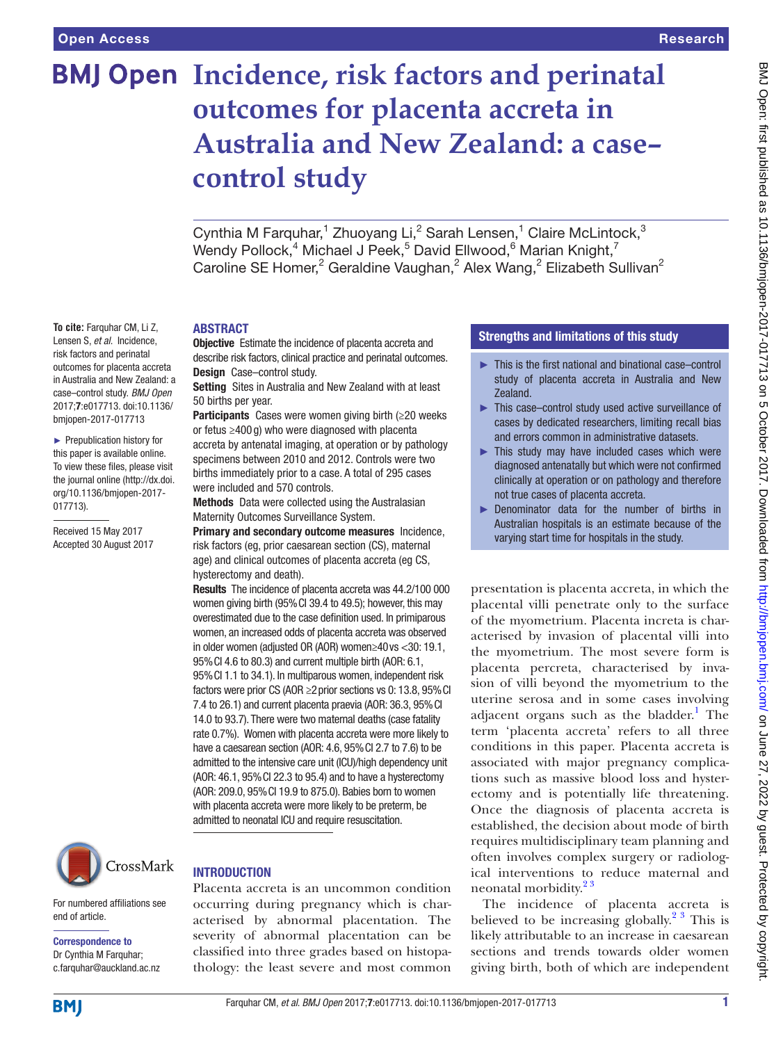**To cite:** Farquhar CM, Li Z, Lensen S, *et al*. Incidence, risk factors and perinatal outcomes for placenta accreta in Australia and New Zealand: a case–control study. *BMJ Open* 2017;7:e017713. doi:10.1136/ bmjopen-2017-017713 ► Prepublication history for this paper is available online. To view these files, please visit the journal online [\(http://dx.doi.](http://dx.doi.org/10.1136/bmjopen-2017-017713) [org/10.1136/bmjopen-2017-](http://dx.doi.org/10.1136/bmjopen-2017-017713)

[017713\)](http://dx.doi.org/10.1136/bmjopen-2017-017713).

Received 15 May 2017 Accepted 30 August 2017

# **BMJ Open Incidence, risk factors and perinatal outcomes for placenta accreta in Australia and New Zealand: a case– control study**

Cynthia M Farquhar,<sup>1</sup> Zhuoyang Li,<sup>2</sup> Sarah Lensen,<sup>1</sup> Claire McLintock,<sup>3</sup> Wendy Pollock,<sup>4</sup> Michael J Peek,<sup>5</sup> David Ellwood,<sup>6</sup> Marian Knight,<sup>7</sup> Caroline SE Homer,<sup>2</sup> Geraldine Vaughan,<sup>2</sup> Alex Wang,<sup>2</sup> Elizabeth Sullivan<sup>2</sup>

#### **ABSTRACT**

**Objective** Estimate the incidence of placenta accreta and describe risk factors, clinical practice and perinatal outcomes. Design Case–control study.

Setting Sites in Australia and New Zealand with at least 50 births per year.

Participants Cases were women giving birth (≥20 weeks or fetus ≥400 g) who were diagnosed with placenta accreta by antenatal imaging, at operation or by pathology specimens between 2010 and 2012. Controls were two births immediately prior to a case. A total of 295 cases were included and 570 controls.

Methods Data were collected using the Australasian Maternity Outcomes Surveillance System.

Primary and secondary outcome measures Incidence, risk factors (eg, prior caesarean section (CS), maternal age) and clinical outcomes of placenta accreta (eg CS, hysterectomy and death).

Results The incidence of placenta accreta was 44.2/100 000 women giving birth (95%CI 39.4 to 49.5); however, this may overestimated due to the case definition used. In primiparous women, an increased odds of placenta accreta was observed in older women (adjusted OR (AOR) women≥40vs <30: 19.1, 95%CI 4.6 to 80.3) and current multiple birth (AOR: 6.1, 95%CI 1.1 to 34.1). In multiparous women, independent risk factors were prior CS (AOR ≥2prior sections vs 0: 13.8, 95%CI 7.4 to 26.1) and current placenta praevia (AOR: 36.3, 95%CI 14.0 to 93.7). There were two maternal deaths (case fatality rate 0.7%). Women with placenta accreta were more likely to have a caesarean section (AOR: 4.6, 95%CI 2.7 to 7.6) to be admitted to the intensive care unit (ICU)/high dependency unit (AOR: 46.1, 95%CI 22.3 to 95.4) and to have a hysterectomy (AOR: 209.0, 95%CI 19.9 to 875.0). Babies born to women with placenta accreta were more likely to be preterm, be admitted to neonatal ICU and require resuscitation.



For numbered affiliations see end of article.

Correspondence to Dr Cynthia M Farquhar; c.farquhar@auckland.ac.nz

# **INTRODUCTION**

Placenta accreta is an uncommon condition occurring during pregnancy which is characterised by abnormal placentation. The severity of abnormal placentation can be classified into three grades based on histopathology: the least severe and most common

#### Strengths and limitations of this study

- ► This is the first national and binational case–control study of placenta accreta in Australia and New Zealand.
- ► This case–control study used active surveillance of cases by dedicated researchers, limiting recall bias and errors common in administrative datasets.
- ► This study may have included cases which were diagnosed antenatally but which were not confirmed clinically at operation or on pathology and therefore not true cases of placenta accreta.
- ► Denominator data for the number of births in Australian hospitals is an estimate because of the varying start time for hospitals in the study.

presentation is placenta accreta, in which the placental villi penetrate only to the surface of the myometrium. Placenta increta is characterised by invasion of placental villi into the myometrium. The most severe form is placenta percreta, characterised by invasion of villi beyond the myometrium to the uterine serosa and in some cases involving adjacent organs such as the bladder.<sup>[1](#page-7-0)</sup> The term 'placenta accreta' refers to all three conditions in this paper. Placenta accreta is associated with major pregnancy complications such as massive blood loss and hysterectomy and is potentially life threatening. Once the diagnosis of placenta accreta is established, the decision about mode of birth requires multidisciplinary team planning and often involves complex surgery or radiological interventions to reduce maternal and neonatal morbidity.[2 3](#page-7-1)

The incidence of placenta accreta is believed to be increasing globally.<sup>2 3</sup> This is likely attributable to an increase in caesarean sections and trends towards older women giving birth, both of which are independent

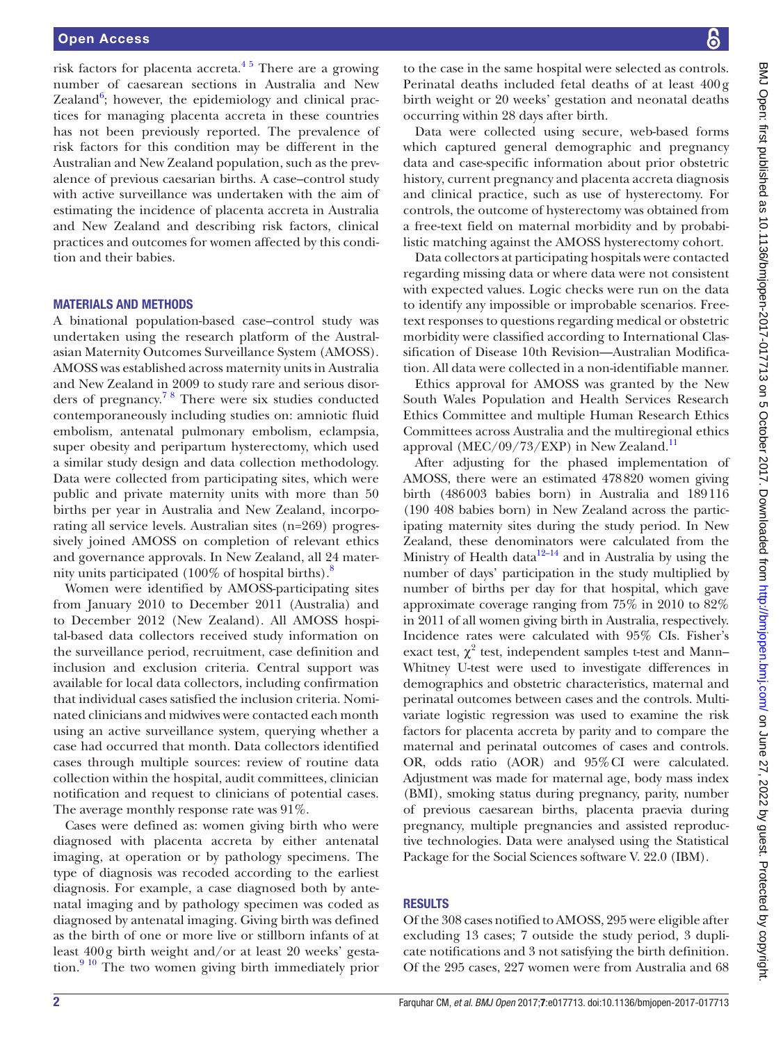risk factors for placenta accreta.[4 5](#page-7-2) There are a growing number of caesarean sections in Australia and New Zealand $6$ ; however, the epidemiology and clinical practices for managing placenta accreta in these countries has not been previously reported. The prevalence of risk factors for this condition may be different in the Australian and New Zealand population, such as the prevalence of previous caesarian births. A case–control study with active surveillance was undertaken with the aim of estimating the incidence of placenta accreta in Australia and New Zealand and describing risk factors, clinical practices and outcomes for women affected by this condition and their babies.

## Materials and methods

A binational population-based case–control study was undertaken using the research platform of the Australasian Maternity Outcomes Surveillance System (AMOSS). AMOSS was established across maternity units in Australia and New Zealand in 2009 to study rare and serious disorders of pregnancy[.7 8](#page-8-1) There were six studies conducted contemporaneously including studies on: amniotic fluid embolism, antenatal pulmonary embolism, eclampsia, super obesity and peripartum hysterectomy, which used a similar study design and data collection methodology. Data were collected from participating sites, which were public and private maternity units with more than 50 births per year in Australia and New Zealand, incorporating all service levels. Australian sites (n=269) progressively joined AMOSS on completion of relevant ethics and governance approvals. In New Zealand, all 24 maternity units participated  $(100\% \text{ of hospital births}).$ <sup>[8](#page-8-2)</sup>

Women were identified by AMOSS-participating sites from January 2010 to December 2011 (Australia) and to December 2012 (New Zealand). All AMOSS hospital-based data collectors received study information on the surveillance period, recruitment, case definition and inclusion and exclusion criteria. Central support was available for local data collectors, including confirmation that individual cases satisfied the inclusion criteria. Nominated clinicians and midwives were contacted each month using an active surveillance system, querying whether a case had occurred that month. Data collectors identified cases through multiple sources: review of routine data collection within the hospital, audit committees, clinician notification and request to clinicians of potential cases. The average monthly response rate was 91%.

Cases were defined as: women giving birth who were diagnosed with placenta accreta by either antenatal imaging, at operation or by pathology specimens. The type of diagnosis was recoded according to the earliest diagnosis. For example, a case diagnosed both by antenatal imaging and by pathology specimen was coded as diagnosed by antenatal imaging. Giving birth was defined as the birth of one or more live or stillborn infants of at least 400g birth weight and/or at least 20 weeks' gestation.<sup>9 10</sup> The two women giving birth immediately prior

to the case in the same hospital were selected as controls. Perinatal deaths included fetal deaths of at least 400g birth weight or 20 weeks' gestation and neonatal deaths occurring within 28 days after birth.

Data were collected using secure, web-based forms which captured general demographic and pregnancy data and case-specific information about prior obstetric history, current pregnancy and placenta accreta diagnosis and clinical practice, such as use of hysterectomy. For controls, the outcome of hysterectomy was obtained from a free-text field on maternal morbidity and by probabilistic matching against the AMOSS hysterectomy cohort.

Data collectors at participating hospitals were contacted regarding missing data or where data were not consistent with expected values. Logic checks were run on the data to identify any impossible or improbable scenarios. Freetext responses to questions regarding medical or obstetric morbidity were classified according to International Classification of Disease 10th Revision—Australian Modification. All data were collected in a non-identifiable manner.

Ethics approval for AMOSS was granted by the New South Wales Population and Health Services Research Ethics Committee and multiple Human Research Ethics Committees across Australia and the multiregional ethics approval (MEC/09/73/EXP) in New Zealand.<sup>[11](#page-8-4)</sup>

After adjusting for the phased implementation of AMOSS, there were an estimated 478820 women giving birth (486003 babies born) in Australia and 189116 (190 408 babies born) in New Zealand across the participating maternity sites during the study period. In New Zealand, these denominators were calculated from the Ministry of Health data $12-14$  and in Australia by using the number of days' participation in the study multiplied by number of births per day for that hospital, which gave approximate coverage ranging from 75% in 2010 to 82% in 2011 of all women giving birth in Australia, respectively. Incidence rates were calculated with 95% CIs. Fisher's exact test,  $\chi^2$  test, independent samples t-test and Mann-Whitney U-test were used to investigate differences in demographics and obstetric characteristics, maternal and perinatal outcomes between cases and the controls. Multivariate logistic regression was used to examine the risk factors for placenta accreta by parity and to compare the maternal and perinatal outcomes of cases and controls. OR, odds ratio (AOR) and 95%CI were calculated. Adjustment was made for maternal age, body mass index (BMI), smoking status during pregnancy, parity, number of previous caesarean births, placenta praevia during pregnancy, multiple pregnancies and assisted reproductive technologies. Data were analysed using the Statistical Package for the Social Sciences software V. 22.0 (IBM).

#### **RESULTS**

Of the 308 cases notified to AMOSS, 295 were eligible after excluding 13 cases; 7 outside the study period, 3 duplicate notifications and 3 not satisfying the birth definition. Of the 295 cases, 227 women were from Australia and 68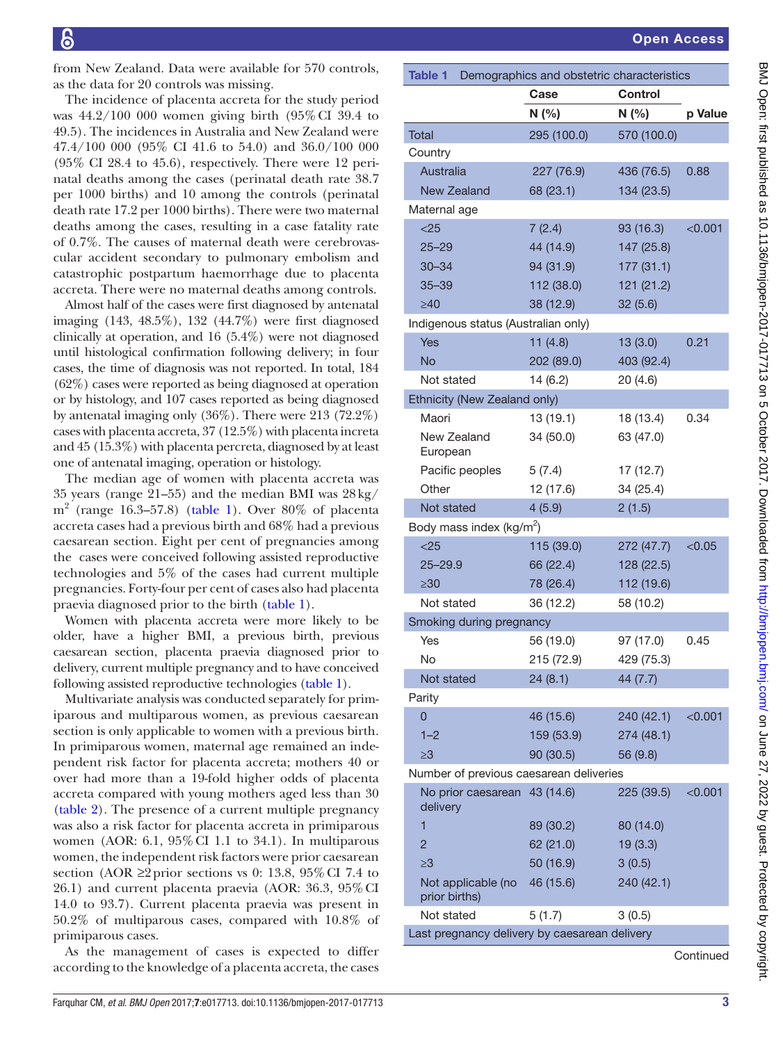from New Zealand. Data were available for 570 controls, as the data for 20 controls was missing.

The incidence of placenta accreta for the study period was 44.2/100 000 women giving birth (95%CI 39.4 to 49.5). The incidences in Australia and New Zealand were 47.4/100 000 (95% CI 41.6 to 54.0) and 36.0/100 000 (95% CI 28.4 to 45.6), respectively. There were 12 perinatal deaths among the cases (perinatal death rate 38.7 per 1000 births) and 10 among the controls (perinatal death rate 17.2 per 1000 births). There were two maternal deaths among the cases, resulting in a case fatality rate of 0.7%. The causes of maternal death were cerebrovascular accident secondary to pulmonary embolism and catastrophic postpartum haemorrhage due to placenta accreta. There were no maternal deaths among controls.

Almost half of the cases were first diagnosed by antenatal imaging (143, 48.5%), 132 (44.7%) were first diagnosed clinically at operation, and 16 (5.4%) were not diagnosed until histological confirmation following delivery; in four cases, the time of diagnosis was not reported. In total, 184 (62%) cases were reported as being diagnosed at operation or by histology, and 107 cases reported as being diagnosed by antenatal imaging only (36%). There were 213 (72.2%) cases with placenta accreta, 37 (12.5%) with placenta increta and 45 (15.3%) with placenta percreta, diagnosed by at least one of antenatal imaging, operation or histology.

The median age of women with placenta accreta was 35 years (range 21–55) and the median BMI was 28kg/  $m^2$  (range 16.3–57.8) ([table](#page-2-0) 1). Over 80% of placenta accreta cases had a previous birth and 68% had a previous caesarean section. Eight per cent of pregnancies among the cases were conceived following assisted reproductive technologies and 5% of the cases had current multiple pregnancies. Forty-four per cent of cases also had placenta praevia diagnosed prior to the birth [\(table](#page-2-0) 1).

Women with placenta accreta were more likely to be older, have a higher BMI, a previous birth, previous caesarean section, placenta praevia diagnosed prior to delivery, current multiple pregnancy and to have conceived following assisted reproductive technologies [\(table](#page-2-0) 1).

Multivariate analysis was conducted separately for primiparous and multiparous women, as previous caesarean section is only applicable to women with a previous birth. In primiparous women, maternal age remained an independent risk factor for placenta accreta; mothers 40 or over had more than a 19-fold higher odds of placenta accreta compared with young mothers aged less than 30 ([table](#page-3-0) 2). The presence of a current multiple pregnancy was also a risk factor for placenta accreta in primiparous women (AOR: 6.1, 95%CI 1.1 to 34.1). In multiparous women, the independent risk factors were prior caesarean section (AOR  $\geq$ 2 prior sections vs 0: 13.8, 95% CI 7.4 to 26.1) and current placenta praevia (AOR: 36.3, 95%CI 14.0 to 93.7). Current placenta praevia was present in 50.2% of multiparous cases, compared with 10.8% of primiparous cases.

As the management of cases is expected to differ according to the knowledge of a placenta accreta, the cases

<span id="page-2-0"></span>

| <b>Table 1</b>                                | Demographics and obstetric characteristics |             |         |  |
|-----------------------------------------------|--------------------------------------------|-------------|---------|--|
|                                               | <b>Control</b><br>Case                     |             |         |  |
|                                               | N(%                                        | N(%)        | p Value |  |
| <b>Total</b>                                  | 295 (100.0)                                | 570 (100.0) |         |  |
| Country                                       |                                            |             |         |  |
| Australia                                     | 227 (76.9)                                 | 436 (76.5)  | 0.88    |  |
| <b>New Zealand</b>                            | 68 (23.1)                                  | 134 (23.5)  |         |  |
| Maternal age                                  |                                            |             |         |  |
| $<$ 25                                        | 7(2.4)                                     | 93 (16.3)   | < 0.001 |  |
| $25 - 29$                                     | 44 (14.9)                                  | 147 (25.8)  |         |  |
| $30 - 34$                                     | 94 (31.9)                                  | 177(31.1)   |         |  |
| $35 - 39$                                     | 112 (38.0)                                 | 121 (21.2)  |         |  |
| $\geq 40$                                     | 38 (12.9)                                  | 32(5.6)     |         |  |
| Indigenous status (Australian only)           |                                            |             |         |  |
| <b>Yes</b>                                    | 11(4.8)                                    | 13(3.0)     | 0.21    |  |
| <b>No</b>                                     | 202 (89.0)                                 | 403 (92.4)  |         |  |
| Not stated                                    | 14(6.2)                                    | 20 (4.6)    |         |  |
| Ethnicity (New Zealand only)                  |                                            |             |         |  |
| Maori                                         | 13 (19.1)                                  | 18 (13.4)   | 0.34    |  |
| New Zealand<br>European                       | 34 (50.0)                                  | 63 (47.0)   |         |  |
| Pacific peoples                               | 5(7.4)                                     | 17(12.7)    |         |  |
| Other                                         | 12 (17.6)                                  | 34 (25.4)   |         |  |
| Not stated                                    | 4(5.9)                                     | 2(1.5)      |         |  |
| Body mass index ( $kg/m^2$ )                  |                                            |             |         |  |
| < 25                                          | 115 (39.0)                                 | 272(47.7)   | < 0.05  |  |
| $25 - 29.9$                                   | 66 (22.4)                                  | 128 (22.5)  |         |  |
| $\geq 30$                                     | 78 (26.4)                                  | 112 (19.6)  |         |  |
| Not stated                                    | 36 (12.2)                                  | 58 (10.2)   |         |  |
| Smoking during pregnancy                      |                                            |             |         |  |
| Yes                                           | 56 (19.0)                                  | 97 (17.0)   | 0.45    |  |
| No                                            | 215 (72.9)                                 | 429 (75.3)  |         |  |
| Not stated                                    | 24(8.1)                                    | 44 (7.7)    |         |  |
| Parity                                        |                                            |             |         |  |
| $\overline{0}$                                | 46 (15.6)                                  | 240 (42.1)  | < 0.001 |  |
| $1 - 2$                                       | 159 (53.9)                                 | 274 (48.1)  |         |  |
| $\geq 3$                                      | 90 (30.5)                                  | 56 (9.8)    |         |  |
| Number of previous caesarean deliveries       |                                            |             |         |  |
| No prior caesarean<br>delivery                | 43 (14.6)                                  | 225 (39.5)  | < 0.001 |  |
| 1                                             | 89 (30.2)                                  | 80 (14.0)   |         |  |
| $\overline{2}$                                | 62 (21.0)                                  | 19(3.3)     |         |  |
| $\geq 3$                                      | 50 (16.9)                                  | 3(0.5)      |         |  |
| Not applicable (no<br>prior births)           | 46 (15.6)                                  | 240 (42.1)  |         |  |
| Not stated                                    | 5(1.7)                                     | 3(0.5)      |         |  |
| Last pregnancy delivery by caesarean delivery |                                            |             |         |  |

**Continued**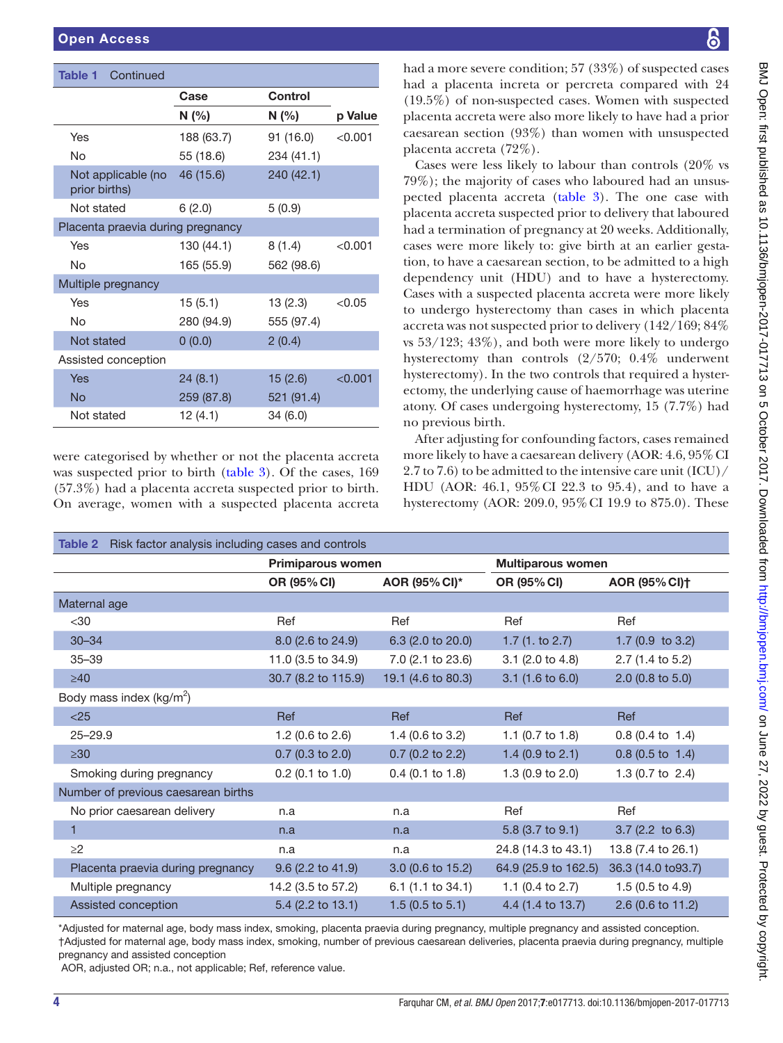| Continued<br>Table 1                |            |            |         |
|-------------------------------------|------------|------------|---------|
|                                     | Case       | Control    |         |
|                                     | N(%        | N(%        | p Value |
| Yes                                 | 188 (63.7) | 91 (16.0)  | < 0.001 |
| Nο                                  | 55 (18.6)  | 234 (41.1) |         |
| Not applicable (no<br>prior births) | 46 (15.6)  | 240 (42.1) |         |
| Not stated                          | 6(2.0)     | 5(0.9)     |         |
| Placenta praevia during pregnancy   |            |            |         |
| Yes                                 | 130 (44.1) | 8(1.4)     | < 0.001 |
| No                                  | 165 (55.9) | 562 (98.6) |         |
| Multiple pregnancy                  |            |            |         |
| Yes                                 | 15(5.1)    | 13(2.3)    | < 0.05  |
| No                                  | 280 (94.9) | 555 (97.4) |         |
| Not stated                          | 0(0.0)     | 2(0.4)     |         |
| Assisted conception                 |            |            |         |
| Yes                                 | 24(8.1)    | 15(2.6)    | < 0.001 |
| <b>No</b>                           | 259 (87.8) | 521 (91.4) |         |
| Not stated                          | 12 (4.1)   | 34 (6.0)   |         |

were categorised by whether or not the placenta accreta was suspected prior to birth [\(table](#page-4-0) 3). Of the cases, 169 (57.3%) had a placenta accreta suspected prior to birth. On average, women with a suspected placenta accreta had a more severe condition; 57 (33%) of suspected cases had a placenta increta or percreta compared with 24 (19.5%) of non-suspected cases. Women with suspected placenta accreta were also more likely to have had a prior caesarean section (93%) than women with unsuspected placenta accreta (72%).

Cases were less likely to labour than controls (20% vs 79%); the majority of cases who laboured had an unsuspected placenta accreta [\(table](#page-4-0) 3). The one case with placenta accreta suspected prior to delivery that laboured had a termination of pregnancy at 20 weeks. Additionally, cases were more likely to: give birth at an earlier gestation, to have a caesarean section, to be admitted to a high dependency unit (HDU) and to have a hysterectomy. Cases with a suspected placenta accreta were more likely to undergo hysterectomy than cases in which placenta accreta was not suspected prior to delivery (142/169; 84% vs 53/123; 43%), and both were more likely to undergo hysterectomy than controls (2/570; 0.4% underwent hysterectomy). In the two controls that required a hysterectomy, the underlying cause of haemorrhage was uterine atony. Of cases undergoing hysterectomy, 15 (7.7%) had no previous birth.

After adjusting for confounding factors, cases remained more likely to have a caesarean delivery (AOR: 4.6, 95% CI 2.7 to 7.6) to be admitted to the intensive care unit (ICU)/ HDU (AOR: 46.1, 95%CI 22.3 to 95.4), and to have a hysterectomy (AOR: 209.0, 95%CI 19.9 to 875.0). These

<span id="page-3-0"></span>

| Risk factor analysis including cases and controls<br>Table 2 |                             |                            |                             |                            |  |
|--------------------------------------------------------------|-----------------------------|----------------------------|-----------------------------|----------------------------|--|
|                                                              | <b>Primiparous women</b>    |                            | <b>Multiparous women</b>    |                            |  |
|                                                              | OR (95% CI)                 | AOR (95% CI)*              | OR (95% CI)                 | AOR (95% CI)+              |  |
| Maternal age                                                 |                             |                            |                             |                            |  |
| $<$ 30                                                       | Ref                         | Ref                        | Ref                         | Ref                        |  |
| $30 - 34$                                                    | 8.0 (2.6 to 24.9)           | 6.3 (2.0 to 20.0)          | 1.7(1. to 2.7)              | 1.7 (0.9 to 3.2)           |  |
| $35 - 39$                                                    | 11.0 (3.5 to 34.9)          | 7.0 (2.1 to 23.6)          | $3.1$ (2.0 to 4.8)          | $2.7(1.4 \text{ to } 5.2)$ |  |
| $\geq 40$                                                    | 30.7 (8.2 to 115.9)         | 19.1 (4.6 to 80.3)         | $3.1$ (1.6 to 6.0)          | 2.0 (0.8 to 5.0)           |  |
| Body mass index $(kg/m^2)$                                   |                             |                            |                             |                            |  |
| $<$ 25                                                       | Ref                         | Ref                        | Ref                         | Ref                        |  |
| $25 - 29.9$                                                  | 1.2 (0.6 to 2.6)            | 1.4 (0.6 to 3.2)           | 1.1 $(0.7 \text{ to } 1.8)$ | $0.8$ (0.4 to 1.4)         |  |
| $\geq 30$                                                    | $0.7$ (0.3 to 2.0)          | $0.7$ (0.2 to 2.2)         | 1.4 $(0.9 \text{ to } 2.1)$ | $0.8$ (0.5 to 1.4)         |  |
| Smoking during pregnancy                                     | $0.2$ (0.1 to 1.0)          | $0.4$ (0.1 to 1.8)         | 1.3 (0.9 to 2.0)            | 1.3 (0.7 to 2.4)           |  |
| Number of previous caesarean births                          |                             |                            |                             |                            |  |
| No prior caesarean delivery                                  | n.a                         | n.a                        | Ref                         | Ref                        |  |
| 1                                                            | n.a                         | n.a                        | $5.8$ (3.7 to 9.1)          | $3.7(2.2 \text{ to } 6.3)$ |  |
| $\geq$ 2                                                     | n.a                         | n.a                        | 24.8 (14.3 to 43.1)         | 13.8 (7.4 to 26.1)         |  |
| Placenta praevia during pregnancy                            | $9.6(2.2 \text{ to } 41.9)$ | 3.0 (0.6 to 15.2)          | 64.9 (25.9 to 162.5)        | 36.3 (14.0 to 93.7)        |  |
| Multiple pregnancy                                           | 14.2 (3.5 to 57.2)          | 6.1 (1.1 to 34.1)          | 1.1 (0.4 to 2.7)            | 1.5 (0.5 to 4.9)           |  |
| Assisted conception                                          | $5.4$ (2.2 to 13.1)         | $1.5(0.5 \text{ to } 5.1)$ | 4.4 (1.4 to 13.7)           | $2.6$ (0.6 to 11.2)        |  |

\*Adjusted for maternal age, body mass index, smoking, placenta praevia during pregnancy, multiple pregnancy and assisted conception. †Adjusted for maternal age, body mass index, smoking, number of previous caesarean deliveries, placenta praevia during pregnancy, multiple pregnancy and assisted conception

AOR, adjusted OR; n.a., not applicable; Ref, reference value.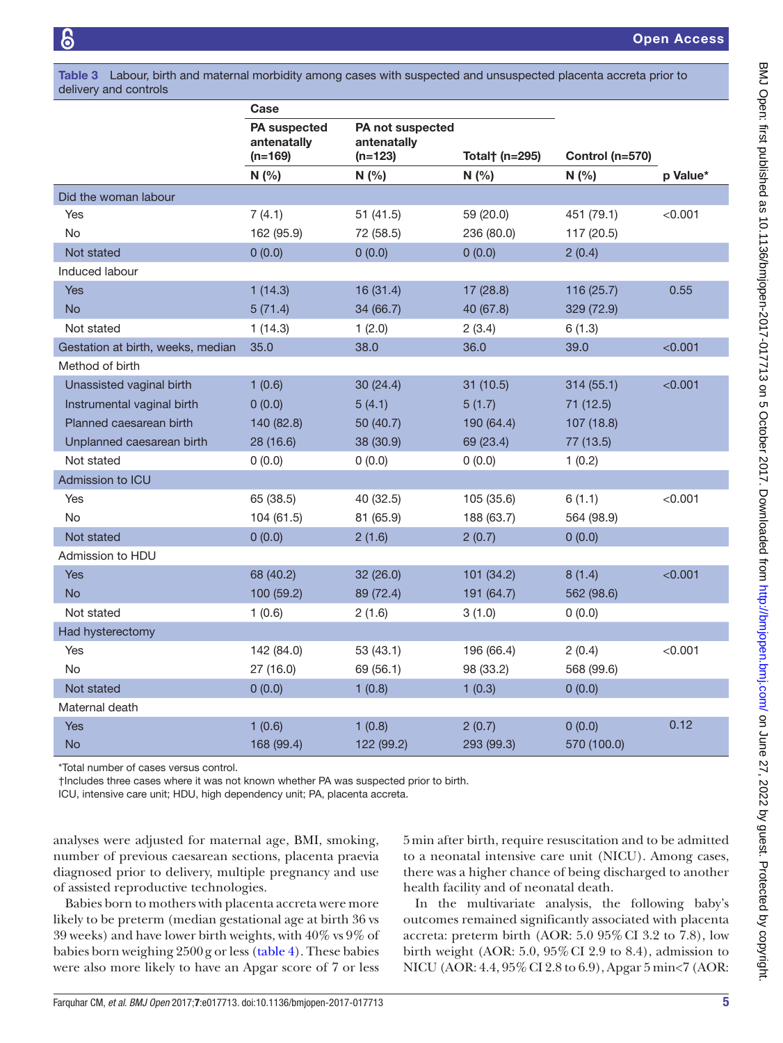<span id="page-4-0"></span>Table 3 Labour, birth and maternal morbidity among cases with suspected and unsuspected placenta accreta prior to delivery and controls

|                                   | Case                                            |                                              |                |                 |          |
|-----------------------------------|-------------------------------------------------|----------------------------------------------|----------------|-----------------|----------|
|                                   | <b>PA</b> suspected<br>antenatally<br>$(n=169)$ | PA not suspected<br>antenatally<br>$(n=123)$ | Total† (n=295) | Control (n=570) |          |
|                                   | N(%                                             | N(%                                          | N(%            | N(%             | p Value* |
| Did the woman labour              |                                                 |                                              |                |                 |          |
| Yes                               | 7(4.1)                                          | 51(41.5)                                     | 59 (20.0)      | 451 (79.1)      | < 0.001  |
| <b>No</b>                         | 162 (95.9)                                      | 72 (58.5)                                    | 236 (80.0)     | 117 (20.5)      |          |
| Not stated                        | 0(0.0)                                          | 0(0.0)                                       | 0(0.0)         | 2(0.4)          |          |
| Induced labour                    |                                                 |                                              |                |                 |          |
| <b>Yes</b>                        | 1(14.3)                                         | 16 (31.4)                                    | 17(28.8)       | 116 (25.7)      | 0.55     |
| <b>No</b>                         | 5(71.4)                                         | 34 (66.7)                                    | 40 (67.8)      | 329 (72.9)      |          |
| Not stated                        | 1(14.3)                                         | 1(2.0)                                       | 2(3.4)         | 6(1.3)          |          |
| Gestation at birth, weeks, median | 35.0                                            | 38.0                                         | 36.0           | 39.0            | < 0.001  |
| Method of birth                   |                                                 |                                              |                |                 |          |
| Unassisted vaginal birth          | 1(0.6)                                          | 30(24.4)                                     | 31 (10.5)      | 314(55.1)       | < 0.001  |
| Instrumental vaginal birth        | 0(0.0)                                          | 5(4.1)                                       | 5(1.7)         | 71 (12.5)       |          |
| Planned caesarean birth           | 140 (82.8)                                      | 50 (40.7)                                    | 190 (64.4)     | 107 (18.8)      |          |
| Unplanned caesarean birth         | 28 (16.6)                                       | 38 (30.9)                                    | 69 (23.4)      | 77 (13.5)       |          |
| Not stated                        | 0(0.0)                                          | 0(0.0)                                       | 0(0.0)         | 1(0.2)          |          |
| Admission to ICU                  |                                                 |                                              |                |                 |          |
| Yes                               | 65 (38.5)                                       | 40 (32.5)                                    | 105 (35.6)     | 6(1.1)          | < 0.001  |
| <b>No</b>                         | 104 (61.5)                                      | 81 (65.9)                                    | 188 (63.7)     | 564 (98.9)      |          |
| Not stated                        | 0(0.0)                                          | 2(1.6)                                       | 2(0.7)         | 0(0.0)          |          |
| Admission to HDU                  |                                                 |                                              |                |                 |          |
| Yes                               | 68 (40.2)                                       | 32 (26.0)                                    | 101 (34.2)     | 8(1.4)          | < 0.001  |
| <b>No</b>                         | 100 (59.2)                                      | 89 (72.4)                                    | 191 (64.7)     | 562 (98.6)      |          |
| Not stated                        | 1(0.6)                                          | 2(1.6)                                       | 3(1.0)         | 0(0.0)          |          |
| Had hysterectomy                  |                                                 |                                              |                |                 |          |
| Yes                               | 142 (84.0)                                      | 53 (43.1)                                    | 196 (66.4)     | 2(0.4)          | < 0.001  |
| <b>No</b>                         | 27 (16.0)                                       | 69 (56.1)                                    | 98 (33.2)      | 568 (99.6)      |          |
| Not stated                        | 0(0.0)                                          | 1(0.8)                                       | 1(0.3)         | 0(0.0)          |          |
| Maternal death                    |                                                 |                                              |                |                 |          |
| <b>Yes</b>                        | 1(0.6)                                          | 1(0.8)                                       | 2(0.7)         | 0(0.0)          | 0.12     |
| No                                | 168 (99.4)                                      | 122 (99.2)                                   | 293 (99.3)     | 570 (100.0)     |          |

\*Total number of cases versus control.

†Includes three cases where it was not known whether PA was suspected prior to birth.

ICU, intensive care unit; HDU, high dependency unit; PA, placenta accreta.

analyses were adjusted for maternal age, BMI, smoking, number of previous caesarean sections, placenta praevia diagnosed prior to delivery, multiple pregnancy and use of assisted reproductive technologies.

Babies born to mothers with placenta accreta were more likely to be preterm (median gestational age at birth 36 vs 39 weeks) and have lower birth weights, with 40% vs 9% of babies born weighing 2500g or less ([table](#page-5-0) 4). These babies were also more likely to have an Apgar score of 7 or less

5min after birth, require resuscitation and to be admitted to a neonatal intensive care unit (NICU). Among cases, there was a higher chance of being discharged to another health facility and of neonatal death.

In the multivariate analysis, the following baby's outcomes remained significantly associated with placenta accreta: preterm birth (AOR: 5.0 95%CI 3.2 to 7.8), low birth weight (AOR: 5.0, 95%CI 2.9 to 8.4), admission to NICU (AOR: 4.4, 95%CI 2.8 to 6.9), Apgar 5 min<7 (AOR: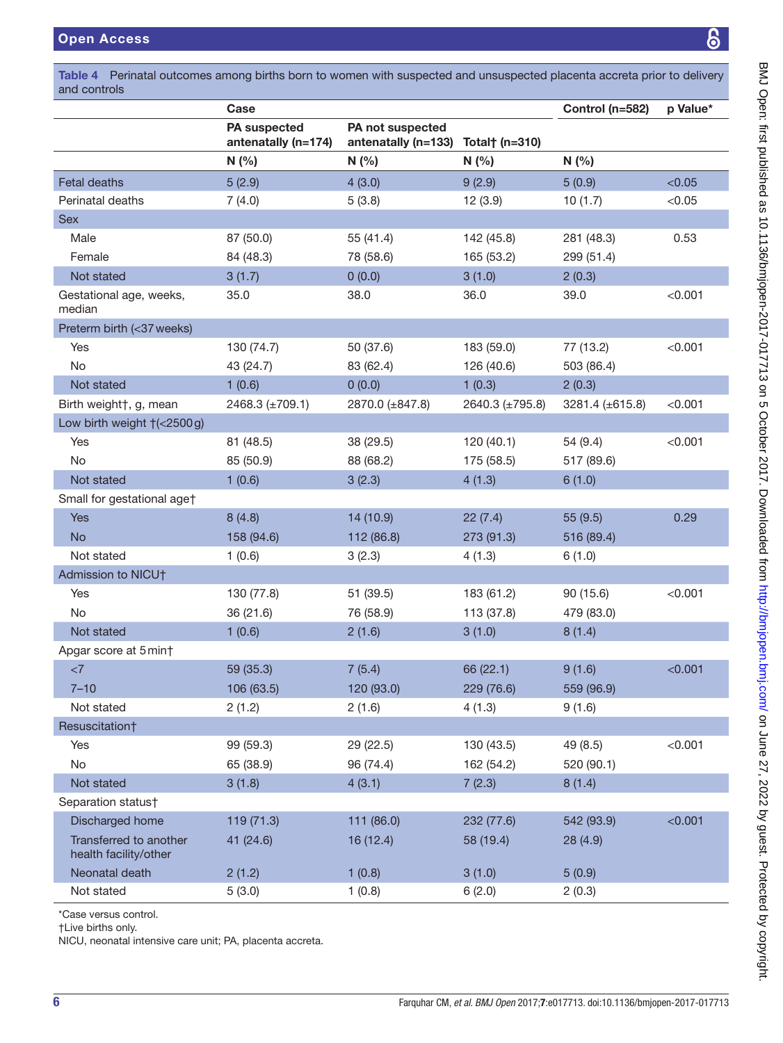BMJ Open: first published as 10.1136/bmjopen-2017-017713 on 5 October 2017. Downloaded from <http://bmjopen.bmj.com/> an June 27, 2022 by guest. Protected by copyright.

BMJ Open: first published as 10.11186/bmjopen-2017-017713 on 5 October 2017. Downloaded from http://bmjopen.bmj.com/ on June 27, 2022 by guest. Protected by copyright.

<span id="page-5-0"></span>Table 4 Perinatal outcomes among births born to women with suspected and unsuspected placenta accreta prior to delivery and controls

|                                                 | Case                                |                                         |                 | Control (n=582)      | p Value* |
|-------------------------------------------------|-------------------------------------|-----------------------------------------|-----------------|----------------------|----------|
|                                                 | PA suspected<br>antenatally (n=174) | PA not suspected<br>antenatally (n=133) | Total† (n=310)  |                      |          |
|                                                 | N(%                                 | N(%                                     | N(%             | N(%                  |          |
| <b>Fetal deaths</b>                             | 5(2.9)                              | 4(3.0)                                  | 9(2.9)          | 5(0.9)               | < 0.05   |
| Perinatal deaths                                | 7(4.0)                              | 5(3.8)                                  | 12(3.9)         | 10(1.7)              | < 0.05   |
| <b>Sex</b>                                      |                                     |                                         |                 |                      |          |
| Male                                            | 87 (50.0)                           | 55 (41.4)                               | 142 (45.8)      | 281 (48.3)           | 0.53     |
| Female                                          | 84 (48.3)                           | 78 (58.6)                               | 165 (53.2)      | 299 (51.4)           |          |
| Not stated                                      | 3(1.7)                              | 0(0.0)                                  | 3(1.0)          | 2(0.3)               |          |
| Gestational age, weeks,<br>median               | 35.0                                | 38.0                                    | 36.0            | 39.0                 | < 0.001  |
| Preterm birth (<37 weeks)                       |                                     |                                         |                 |                      |          |
| Yes                                             | 130 (74.7)                          | 50 (37.6)                               | 183 (59.0)      | 77 (13.2)            | < 0.001  |
| No                                              | 43 (24.7)                           | 83 (62.4)                               | 126 (40.6)      | 503 (86.4)           |          |
| Not stated                                      | 1(0.6)                              | 0(0.0)                                  | 1(0.3)          | 2(0.3)               |          |
| Birth weight†, g, mean                          | 2468.3 (±709.1)                     | 2870.0 (±847.8)                         | 2640.3 (±795.8) | $3281.4 (\pm 615.8)$ | < 0.001  |
| Low birth weight +(<2500g)                      |                                     |                                         |                 |                      |          |
| Yes                                             | 81 (48.5)                           | 38 (29.5)                               | 120(40.1)       | 54 (9.4)             | < 0.001  |
| No                                              | 85 (50.9)                           | 88 (68.2)                               | 175 (58.5)      | 517 (89.6)           |          |
| Not stated                                      | 1(0.6)                              | 3(2.3)                                  | 4(1.3)          | 6(1.0)               |          |
| Small for gestational age†                      |                                     |                                         |                 |                      |          |
| <b>Yes</b>                                      | 8(4.8)                              | 14 (10.9)                               | 22(7.4)         | 55(9.5)              | 0.29     |
| <b>No</b>                                       | 158 (94.6)                          | 112 (86.8)                              | 273 (91.3)      | 516 (89.4)           |          |
| Not stated                                      | 1(0.6)                              | 3(2.3)                                  | 4(1.3)          | 6(1.0)               |          |
| Admission to NICU†                              |                                     |                                         |                 |                      |          |
| Yes                                             | 130 (77.8)                          | 51 (39.5)                               | 183 (61.2)      | 90(15.6)             | < 0.001  |
| No                                              | 36 (21.6)                           | 76 (58.9)                               | 113 (37.8)      | 479 (83.0)           |          |
| Not stated                                      | 1(0.6)                              | 2(1.6)                                  | 3(1.0)          | 8(1.4)               |          |
| Apgar score at 5 min†                           |                                     |                                         |                 |                      |          |
| <7                                              | 59 (35.3)                           | 7(5.4)                                  | 66 (22.1)       | 9(1.6)               | < 0.001  |
| $7 - 10$                                        | 106 (63.5)                          | 120 (93.0)                              | 229 (76.6)      | 559 (96.9)           |          |
| Not stated                                      | 2(1.2)                              | 2(1.6)                                  | 4(1.3)          | 9(1.6)               |          |
| Resuscitation†                                  |                                     |                                         |                 |                      |          |
| Yes                                             | 99 (59.3)                           | 29 (22.5)                               | 130 (43.5)      | 49 (8.5)             | < 0.001  |
| No                                              | 65 (38.9)                           | 96 (74.4)                               | 162 (54.2)      | 520 (90.1)           |          |
| Not stated                                      | 3(1.8)                              | 4(3.1)                                  | 7(2.3)          | 8(1.4)               |          |
| Separation status†                              |                                     |                                         |                 |                      |          |
| Discharged home                                 | 119(71.3)                           | 111 (86.0)                              | 232 (77.6)      | 542 (93.9)           | < 0.001  |
| Transferred to another<br>health facility/other | 41 (24.6)                           | 16 (12.4)                               | 58 (19.4)       | 28 (4.9)             |          |
| Neonatal death                                  | 2(1.2)                              | 1(0.8)                                  | 3(1.0)          | 5(0.9)               |          |
| Not stated                                      | 5(3.0)                              | 1(0.8)                                  | 6(2.0)          | 2(0.3)               |          |

\*Case versus control.

†Live births only.

NICU, neonatal intensive care unit; PA, placenta accreta.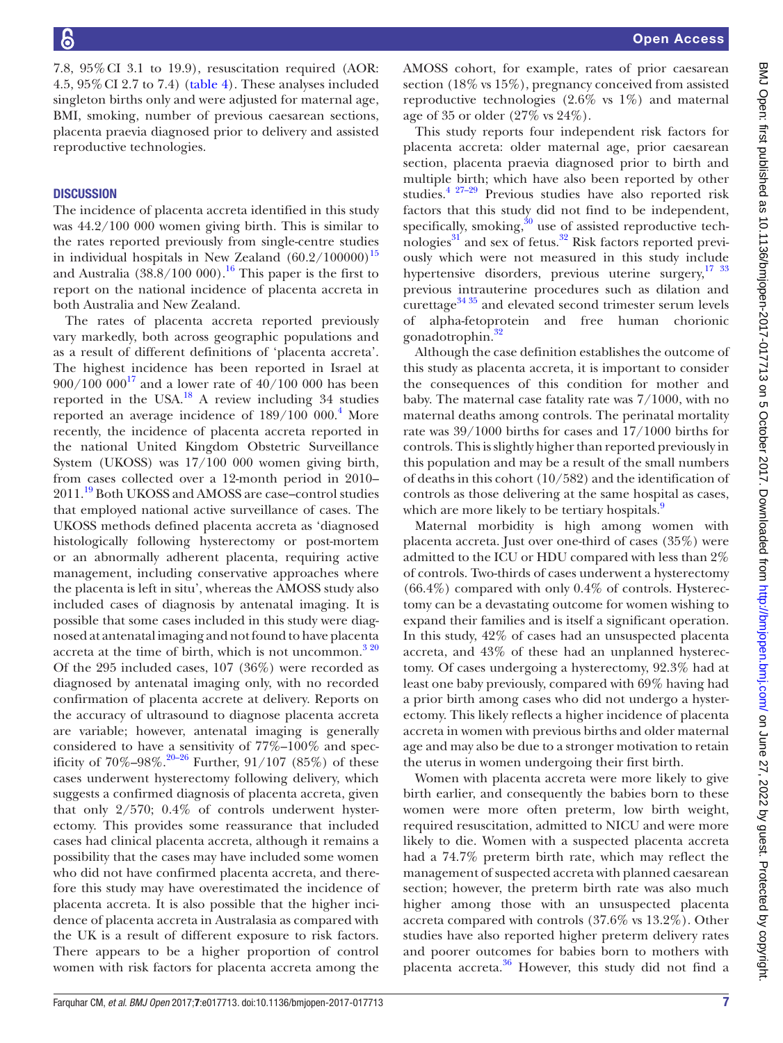7.8, 95%CI 3.1 to 19.9), resuscitation required (AOR: 4.5, 95%CI 2.7 to 7.4) [\(table](#page-5-0) 4). These analyses included singleton births only and were adjusted for maternal age, BMI, smoking, number of previous caesarean sections, placenta praevia diagnosed prior to delivery and assisted reproductive technologies.

# **DISCUSSION**

The incidence of placenta accreta identified in this study was 44.2/100 000 women giving birth. This is similar to the rates reported previously from single-centre studies in individual hospitals in New Zealand  $(60.2/100000)^{15}$ and Australia  $(38.8/100\ 000).^{16}$  This paper is the first to report on the national incidence of placenta accreta in both Australia and New Zealand.

The rates of placenta accreta reported previously vary markedly, both across geographic populations and as a result of different definitions of 'placenta accreta'. The highest incidence has been reported in Israel at  $900/100 000^{17}$  and a lower rate of  $40/100 000$  has been reported in the USA. $^{18}$  A review including 34 studies reported an average incidence of  $189/100000$ .<sup>[4](#page-7-2)</sup> More recently, the incidence of placenta accreta reported in the national United Kingdom Obstetric Surveillance System (UKOSS) was 17/100 000 women giving birth, from cases collected over a 12-month period in 2010– 2011.[19](#page-8-10) Both UKOSS and AMOSS are case–control studies that employed national active surveillance of cases. The UKOSS methods defined placenta accreta as 'diagnosed histologically following hysterectomy or post-mortem or an abnormally adherent placenta, requiring active management, including conservative approaches where the placenta is left in situ', whereas the AMOSS study also included cases of diagnosis by antenatal imaging. It is possible that some cases included in this study were diagnosed at antenatal imaging and not found to have placenta accreta at the time of birth, which is not uncommon. $3^{20}$ Of the 295 included cases, 107 (36%) were recorded as diagnosed by antenatal imaging only, with no recorded confirmation of placenta accrete at delivery. Reports on the accuracy of ultrasound to diagnose placenta accreta are variable; however, antenatal imaging is generally considered to have a sensitivity of 77%–100% and specificity of  $70\% - 98\%$ .<sup>20-26</sup> Further, 91/107 (85%) of these cases underwent hysterectomy following delivery, which suggests a confirmed diagnosis of placenta accreta, given that only 2/570; 0.4% of controls underwent hysterectomy. This provides some reassurance that included cases had clinical placenta accreta, although it remains a possibility that the cases may have included some women who did not have confirmed placenta accreta, and therefore this study may have overestimated the incidence of placenta accreta. It is also possible that the higher incidence of placenta accreta in Australasia as compared with the UK is a result of different exposure to risk factors. There appears to be a higher proportion of control women with risk factors for placenta accreta among the

AMOSS cohort, for example, rates of prior caesarean section (18% vs 15%), pregnancy conceived from assisted reproductive technologies (2.6% vs 1%) and maternal age of 35 or older (27% vs 24%).

This study reports four independent risk factors for placenta accreta: older maternal age, prior caesarean section, placenta praevia diagnosed prior to birth and multiple birth; which have also been reported by other studies[.4 27–29](#page-7-2) Previous studies have also reported risk factors that this study did not find to be independent, specifically, smoking, $30$  use of assisted reproductive technologies $^{31}$  $^{31}$  $^{31}$  and sex of fetus.<sup>[32](#page-8-14)</sup> Risk factors reported previously which were not measured in this study include hypertensive disorders, previous uterine surgery,<sup>17 33</sup> previous intrauterine procedures such as dilation and curettage $3435$  and elevated second trimester serum levels of alpha-fetoprotein and free human chorionic gonadotrophin.<sup>[32](#page-8-14)</sup>

Although the case definition establishes the outcome of this study as placenta accreta, it is important to consider the consequences of this condition for mother and baby. The maternal case fatality rate was 7/1000, with no maternal deaths among controls. The perinatal mortality rate was 39/1000 births for cases and 17/1000 births for controls. This is slightly higher than reported previously in this population and may be a result of the small numbers of deaths in this cohort (10/582) and the identification of controls as those delivering at the same hospital as cases, which are more likely to be tertiary hospitals.<sup>9</sup>

Maternal morbidity is high among women with placenta accreta. Just over one-third of cases (35%) were admitted to the ICU or HDU compared with less than 2% of controls. Two-thirds of cases underwent a hysterectomy  $(66.4\%)$  compared with only 0.4% of controls. Hysterectomy can be a devastating outcome for women wishing to expand their families and is itself a significant operation. In this study, 42% of cases had an unsuspected placenta accreta, and 43% of these had an unplanned hysterectomy. Of cases undergoing a hysterectomy, 92.3% had at least one baby previously, compared with 69% having had a prior birth among cases who did not undergo a hysterectomy. This likely reflects a higher incidence of placenta accreta in women with previous births and older maternal age and may also be due to a stronger motivation to retain the uterus in women undergoing their first birth.

Women with placenta accreta were more likely to give birth earlier, and consequently the babies born to these women were more often preterm, low birth weight, required resuscitation, admitted to NICU and were more likely to die. Women with a suspected placenta accreta had a 74.7% preterm birth rate, which may reflect the management of suspected accreta with planned caesarean section; however, the preterm birth rate was also much higher among those with an unsuspected placenta accreta compared with controls (37.6% vs 13.2%). Other studies have also reported higher preterm delivery rates and poorer outcomes for babies born to mothers with placenta accreta. $36$  However, this study did not find a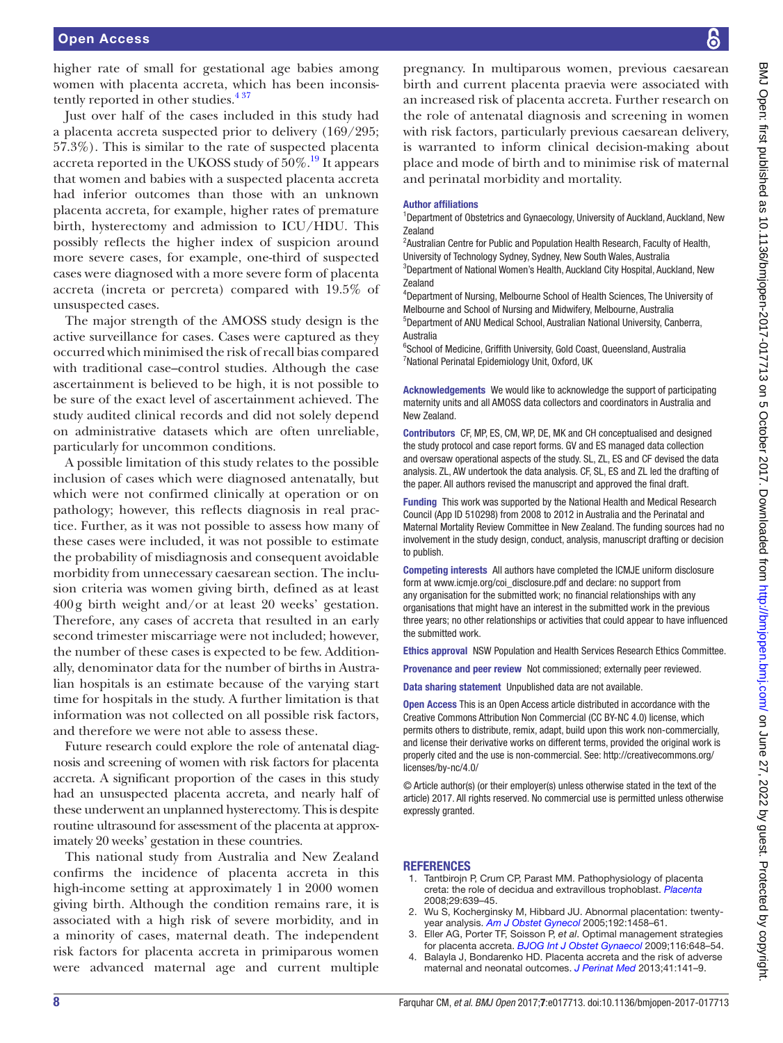higher rate of small for gestational age babies among women with placenta accreta, which has been inconsistently reported in other studies. $437$ 

Just over half of the cases included in this study had a placenta accreta suspected prior to delivery (169/295; 57.3%). This is similar to the rate of suspected placenta accreta reported in the UKOSS study of  $50\%$ .<sup>19</sup> It appears that women and babies with a suspected placenta accreta had inferior outcomes than those with an unknown placenta accreta, for example, higher rates of premature birth, hysterectomy and admission to ICU/HDU. This possibly reflects the higher index of suspicion around more severe cases, for example, one-third of suspected cases were diagnosed with a more severe form of placenta accreta (increta or percreta) compared with 19.5% of unsuspected cases.

The major strength of the AMOSS study design is the active surveillance for cases. Cases were captured as they occurred which minimised the risk of recall bias compared with traditional case–control studies. Although the case ascertainment is believed to be high, it is not possible to be sure of the exact level of ascertainment achieved. The study audited clinical records and did not solely depend on administrative datasets which are often unreliable, particularly for uncommon conditions.

A possible limitation of this study relates to the possible inclusion of cases which were diagnosed antenatally, but which were not confirmed clinically at operation or on pathology; however, this reflects diagnosis in real practice. Further, as it was not possible to assess how many of these cases were included, it was not possible to estimate the probability of misdiagnosis and consequent avoidable morbidity from unnecessary caesarean section. The inclusion criteria was women giving birth, defined as at least 400g birth weight and/or at least 20 weeks' gestation. Therefore, any cases of accreta that resulted in an early second trimester miscarriage were not included; however, the number of these cases is expected to be few. Additionally, denominator data for the number of births in Australian hospitals is an estimate because of the varying start time for hospitals in the study. A further limitation is that information was not collected on all possible risk factors, and therefore we were not able to assess these.

Future research could explore the role of antenatal diagnosis and screening of women with risk factors for placenta accreta. A significant proportion of the cases in this study had an unsuspected placenta accreta, and nearly half of these underwent an unplanned hysterectomy. This is despite routine ultrasound for assessment of the placenta at approximately 20 weeks' gestation in these countries.

This national study from Australia and New Zealand confirms the incidence of placenta accreta in this high-income setting at approximately 1 in 2000 women giving birth. Although the condition remains rare, it is associated with a high risk of severe morbidity, and in a minority of cases, maternal death. The independent risk factors for placenta accreta in primiparous women were advanced maternal age and current multiple

pregnancy. In multiparous women, previous caesarean birth and current placenta praevia were associated with an increased risk of placenta accreta. Further research on the role of antenatal diagnosis and screening in women with risk factors, particularly previous caesarean delivery, is warranted to inform clinical decision-making about place and mode of birth and to minimise risk of maternal and perinatal morbidity and mortality.

#### Author affiliations

<sup>1</sup>Department of Obstetrics and Gynaecology, University of Auckland, Auckland, New Zealand

<sup>2</sup> Australian Centre for Public and Population Health Research, Faculty of Health, University of Technology Sydney, Sydney, New South Wales, Australia <sup>3</sup>Department of National Women's Health, Auckland City Hospital, Auckland, New Zealand

4 Department of Nursing, Melbourne School of Health Sciences, The University of Melbourne and School of Nursing and Midwifery, Melbourne, Australia 5 Department of ANU Medical School, Australian National University, Canberra, Australia

<sup>6</sup>School of Medicine, Griffith University, Gold Coast, Queensland, Australia <sup>7</sup>National Perinatal Epidemiology Unit, Oxford, UK

Acknowledgements We would like to acknowledge the support of participating maternity units and all AMOSS data collectors and coordinators in Australia and New Zealand.

Contributors CF, MP, ES, CM, WP, DE, MK and CH conceptualised and designed the study protocol and case report forms. GV and ES managed data collection and oversaw operational aspects of the study. SL, ZL, ES and CF devised the data analysis. ZL, AW undertook the data analysis. CF, SL, ES and ZL led the drafting of the paper. All authors revised the manuscript and approved the final draft.

Funding This work was supported by the National Health and Medical Research Council (App ID 510298) from 2008 to 2012 in Australia and the Perinatal and Maternal Mortality Review Committee in New Zealand. The funding sources had no involvement in the study design, conduct, analysis, manuscript drafting or decision to publish.

Competing interests All authors have completed the ICMJE uniform disclosure form at www.icmje.org/coi\_disclosure.pdf and declare: no support from any organisation for the submitted work; no financial relationships with any organisations that might have an interest in the submitted work in the previous three years; no other relationships or activities that could appear to have influenced the submitted work.

Ethics approval NSW Population and Health Services Research Ethics Committee.

Provenance and peer review Not commissioned; externally peer reviewed.

Data sharing statement Unpublished data are not available.

Open Access This is an Open Access article distributed in accordance with the Creative Commons Attribution Non Commercial (CC BY-NC 4.0) license, which permits others to distribute, remix, adapt, build upon this work non-commercially, and license their derivative works on different terms, provided the original work is properly cited and the use is non-commercial. See: [http://creativecommons.org/](http://creativecommons.org/licenses/by-nc/4.0/) [licenses/by-nc/4.0/](http://creativecommons.org/licenses/by-nc/4.0/)

© Article author(s) (or their employer(s) unless otherwise stated in the text of the article) 2017. All rights reserved. No commercial use is permitted unless otherwise expressly granted.

## **REFERENCES**

- <span id="page-7-0"></span>1. Tantbirojn P, Crum CP, Parast MM. Pathophysiology of placenta creta: the role of decidua and extravillous trophoblast. *[Placenta](http://dx.doi.org/10.1016/j.placenta.2008.04.008)* 2008;29:639–45.
- <span id="page-7-1"></span>2. Wu S, Kocherginsky M, Hibbard JU. Abnormal placentation: twentyyear analysis. *[Am J Obstet Gynecol](http://dx.doi.org/10.1016/j.ajog.2004.12.074)* 2005;192:1458–61.
- <span id="page-7-3"></span>3. Eller AG, Porter TF, Soisson P, *et al*. Optimal management strategies for placenta accreta. *[BJOG Int J Obstet Gynaecol](http://dx.doi.org/10.1111/j.1471-0528.2008.02037.x)* 2009;116:648–54.
- <span id="page-7-2"></span>4. Balayla J, Bondarenko HD. Placenta accreta and the risk of adverse maternal and neonatal outcomes. *[J Perinat Med](http://dx.doi.org/10.1515/jpm-2012-0219)* 2013;41:141–9.